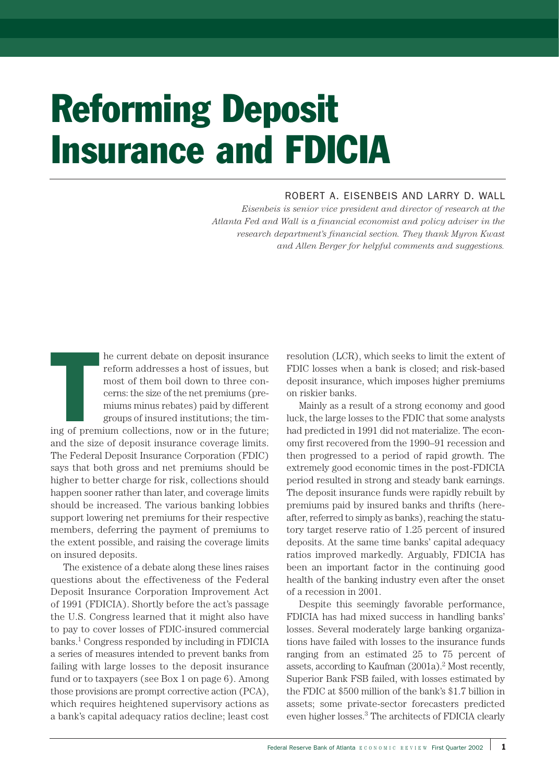# Reforming Deposit Insurance and FDICIA

# ROBERT A. EISENBEIS AND LARRY D. WALL

*Eisenbeis is senior vice president and director of research at the Atlanta Fed and Wall is a financial economist and policy adviser in the research department's financial section. They thank Myron Kwast and Allen Berger for helpful comments and suggestions.*

The Second Second<br>The Second Second<br>The Second Second Second Second Second Second Second Second Second Second Second Second Second Second Second S he current debate on deposit insurance reform addresses a host of issues, but most of them boil down to three concerns: the size of the net premiums (premiums minus rebates) paid by different groups of insured institutions; the tim-

ing of premium collections, now or in the future; and the size of deposit insurance coverage limits. The Federal Deposit Insurance Corporation (FDIC) says that both gross and net premiums should be higher to better charge for risk, collections should happen sooner rather than later, and coverage limits should be increased. The various banking lobbies support lowering net premiums for their respective members, deferring the payment of premiums to the extent possible, and raising the coverage limits on insured deposits.

The existence of a debate along these lines raises questions about the effectiveness of the Federal Deposit Insurance Corporation Improvement Act of 1991 (FDICIA). Shortly before the act's passage the U.S. Congress learned that it might also have to pay to cover losses of FDIC-insured commercial banks.1 Congress responded by including in FDICIA a series of measures intended to prevent banks from failing with large losses to the deposit insurance fund or to taxpayers (see Box 1 on page 6). Among those provisions are prompt corrective action (PCA), which requires heightened supervisory actions as a bank's capital adequacy ratios decline; least cost

resolution (LCR), which seeks to limit the extent of FDIC losses when a bank is closed; and risk-based deposit insurance, which imposes higher premiums on riskier banks.

Mainly as a result of a strong economy and good luck, the large losses to the FDIC that some analysts had predicted in 1991 did not materialize. The economy first recovered from the 1990–91 recession and then progressed to a period of rapid growth. The extremely good economic times in the post-FDICIA period resulted in strong and steady bank earnings. The deposit insurance funds were rapidly rebuilt by premiums paid by insured banks and thrifts (hereafter, referred to simply as banks), reaching the statutory target reserve ratio of 1.25 percent of insured deposits. At the same time banks' capital adequacy ratios improved markedly. Arguably, FDICIA has been an important factor in the continuing good health of the banking industry even after the onset of a recession in 2001.

Despite this seemingly favorable performance, FDICIA has had mixed success in handling banks' losses. Several moderately large banking organizations have failed with losses to the insurance funds ranging from an estimated 25 to 75 percent of assets, according to Kaufman  $(2001a)$ .<sup>2</sup> Most recently, Superior Bank FSB failed, with losses estimated by the FDIC at \$500 million of the bank's \$1.7 billion in assets; some private-sector forecasters predicted even higher losses.3 The architects of FDICIA clearly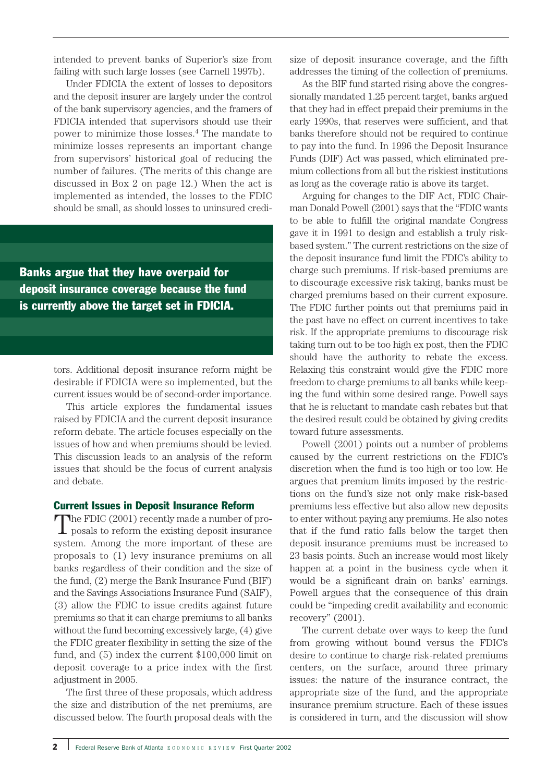intended to prevent banks of Superior's size from failing with such large losses (see Carnell 1997b).

Under FDICIA the extent of losses to depositors and the deposit insurer are largely under the control of the bank supervisory agencies, and the framers of FDICIA intended that supervisors should use their power to minimize those losses.4 The mandate to minimize losses represents an important change from supervisors' historical goal of reducing the number of failures. (The merits of this change are discussed in Box 2 on page 12.) When the act is implemented as intended, the losses to the FDIC should be small, as should losses to uninsured credi-

Banks argue that they have overpaid for deposit insurance coverage because the fund is currently above the target set in FDICIA.

> tors. Additional deposit insurance reform might be desirable if FDICIA were so implemented, but the current issues would be of second-order importance.

> This article explores the fundamental issues raised by FDICIA and the current deposit insurance reform debate. The article focuses especially on the issues of how and when premiums should be levied. This discussion leads to an analysis of the reform issues that should be the focus of current analysis and debate.

#### Current Issues in Deposit Insurance Reform

The FDIC (2001) recently made a number of pro-**L** posals to reform the existing deposit insurance system. Among the more important of these are proposals to (1) levy insurance premiums on all banks regardless of their condition and the size of the fund, (2) merge the Bank Insurance Fund (BIF) and the Savings Associations Insurance Fund (SAIF), (3) allow the FDIC to issue credits against future premiums so that it can charge premiums to all banks without the fund becoming excessively large, (4) give the FDIC greater flexibility in setting the size of the fund, and (5) index the current \$100,000 limit on deposit coverage to a price index with the first adjustment in 2005.

The first three of these proposals, which address the size and distribution of the net premiums, are discussed below. The fourth proposal deals with the

size of deposit insurance coverage, and the fifth addresses the timing of the collection of premiums.

As the BIF fund started rising above the congressionally mandated 1.25 percent target, banks argued that they had in effect prepaid their premiums in the early 1990s, that reserves were sufficient, and that banks therefore should not be required to continue to pay into the fund. In 1996 the Deposit Insurance Funds (DIF) Act was passed, which eliminated premium collections from all but the riskiest institutions as long as the coverage ratio is above its target.

Arguing for changes to the DIF Act, FDIC Chairman Donald Powell (2001) says that the "FDIC wants to be able to fulfill the original mandate Congress gave it in 1991 to design and establish a truly riskbased system." The current restrictions on the size of the deposit insurance fund limit the FDIC's ability to charge such premiums. If risk-based premiums are to discourage excessive risk taking, banks must be charged premiums based on their current exposure. The FDIC further points out that premiums paid in the past have no effect on current incentives to take risk. If the appropriate premiums to discourage risk taking turn out to be too high ex post, then the FDIC should have the authority to rebate the excess. Relaxing this constraint would give the FDIC more freedom to charge premiums to all banks while keeping the fund within some desired range. Powell says that he is reluctant to mandate cash rebates but that the desired result could be obtained by giving credits toward future assessments.

Powell (2001) points out a number of problems caused by the current restrictions on the FDIC's discretion when the fund is too high or too low. He argues that premium limits imposed by the restrictions on the fund's size not only make risk-based premiums less effective but also allow new deposits to enter without paying any premiums. He also notes that if the fund ratio falls below the target then deposit insurance premiums must be increased to 23 basis points. Such an increase would most likely happen at a point in the business cycle when it would be a significant drain on banks' earnings. Powell argues that the consequence of this drain could be "impeding credit availability and economic recovery" (2001).

The current debate over ways to keep the fund from growing without bound versus the FDIC's desire to continue to charge risk-related premiums centers, on the surface, around three primary issues: the nature of the insurance contract, the appropriate size of the fund, and the appropriate insurance premium structure. Each of these issues is considered in turn, and the discussion will show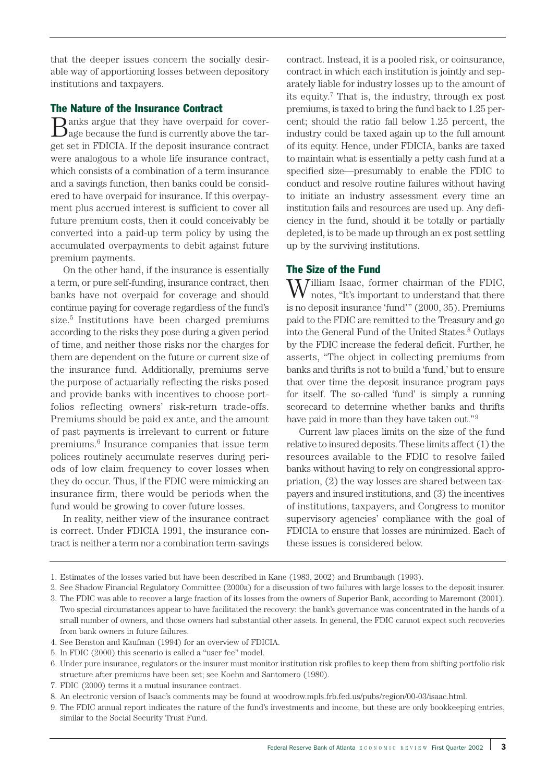that the deeper issues concern the socially desirable way of apportioning losses between depository institutions and taxpayers.

# The Nature of the Insurance Contract

Banks argue that they have overpaid for cover-age because the fund is currently above the target set in FDICIA. If the deposit insurance contract were analogous to a whole life insurance contract, which consists of a combination of a term insurance and a savings function, then banks could be considered to have overpaid for insurance. If this overpayment plus accrued interest is sufficient to cover all future premium costs, then it could conceivably be converted into a paid-up term policy by using the accumulated overpayments to debit against future premium payments.

On the other hand, if the insurance is essentially a term, or pure self-funding, insurance contract, then banks have not overpaid for coverage and should continue paying for coverage regardless of the fund's size.5 Institutions have been charged premiums according to the risks they pose during a given period of time, and neither those risks nor the charges for them are dependent on the future or current size of the insurance fund. Additionally, premiums serve the purpose of actuarially reflecting the risks posed and provide banks with incentives to choose portfolios reflecting owners' risk-return trade-offs. Premiums should be paid ex ante, and the amount of past payments is irrelevant to current or future premiums.6 Insurance companies that issue term polices routinely accumulate reserves during periods of low claim frequency to cover losses when they do occur. Thus, if the FDIC were mimicking an insurance firm, there would be periods when the fund would be growing to cover future losses.

In reality, neither view of the insurance contract is correct. Under FDICIA 1991, the insurance contract is neither a term nor a combination term-savings

contract. Instead, it is a pooled risk, or coinsurance, contract in which each institution is jointly and separately liable for industry losses up to the amount of its equity.7 That is, the industry, through ex post premiums, is taxed to bring the fund back to 1.25 percent; should the ratio fall below 1.25 percent, the industry could be taxed again up to the full amount of its equity. Hence, under FDICIA, banks are taxed to maintain what is essentially a petty cash fund at a specified size—presumably to enable the FDIC to conduct and resolve routine failures without having to initiate an industry assessment every time an institution fails and resources are used up. Any deficiency in the fund, should it be totally or partially depleted, is to be made up through an ex post settling up by the surviving institutions.

# The Size of the Fund

William Isaac, former chairman of the FDIC, notes, "It's important to understand that there is no deposit insurance 'fund'" (2000, 35). Premiums paid to the FDIC are remitted to the Treasury and go into the General Fund of the United States.8 Outlays by the FDIC increase the federal deficit. Further, he asserts, "The object in collecting premiums from banks and thrifts is not to build a 'fund,' but to ensure that over time the deposit insurance program pays for itself. The so-called 'fund' is simply a running scorecard to determine whether banks and thrifts have paid in more than they have taken out."<sup>9</sup>

Current law places limits on the size of the fund relative to insured deposits. These limits affect (1) the resources available to the FDIC to resolve failed banks without having to rely on congressional appropriation, (2) the way losses are shared between taxpayers and insured institutions, and (3) the incentives of institutions, taxpayers, and Congress to monitor supervisory agencies' compliance with the goal of FDICIA to ensure that losses are minimized. Each of these issues is considered below.

<sup>1.</sup> Estimates of the losses varied but have been described in Kane (1983, 2002) and Brumbaugh (1993).

<sup>2.</sup> See Shadow Financial Regulatory Committee (2000a) for a discussion of two failures with large losses to the deposit insurer.

<sup>3.</sup> The FDIC was able to recover a large fraction of its losses from the owners of Superior Bank, according to Maremont (2001). Two special circumstances appear to have facilitated the recovery: the bank's governance was concentrated in the hands of a small number of owners, and those owners had substantial other assets. In general, the FDIC cannot expect such recoveries from bank owners in future failures.

<sup>4.</sup> See Benston and Kaufman (1994) for an overview of FDICIA.

<sup>5.</sup> In FDIC (2000) this scenario is called a "user fee" model.

<sup>6.</sup> Under pure insurance, regulators or the insurer must monitor institution risk profiles to keep them from shifting portfolio risk structure after premiums have been set; see Koehn and Santomero (1980).

<sup>7.</sup> FDIC (2000) terms it a mutual insurance contract.

<sup>8.</sup> An electronic version of Isaac's comments may be found at woodrow.mpls.frb.fed.us/pubs/region/00-03/isaac.html.

<sup>9.</sup> The FDIC annual report indicates the nature of the fund's investments and income, but these are only bookkeeping entries, similar to the Social Security Trust Fund.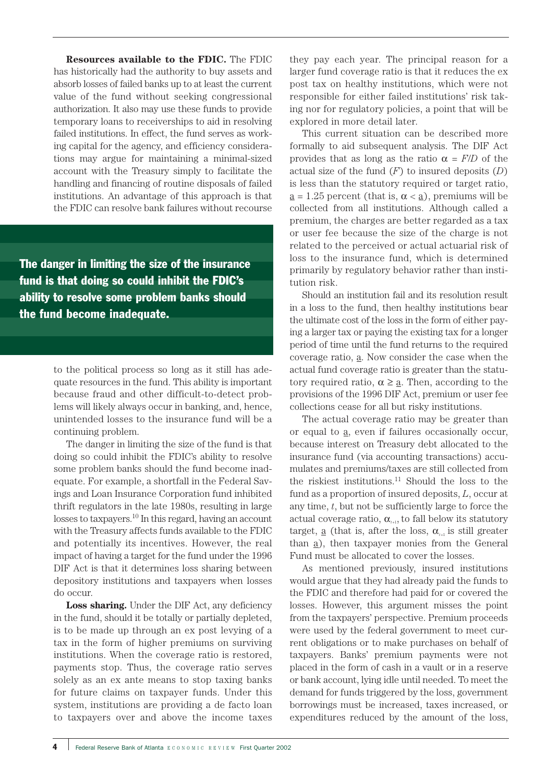**Resources available to the FDIC.** The FDIC has historically had the authority to buy assets and absorb losses of failed banks up to at least the current value of the fund without seeking congressional authorization. It also may use these funds to provide temporary loans to receiverships to aid in resolving failed institutions. In effect, the fund serves as working capital for the agency, and efficiency considerations may argue for maintaining a minimal-sized account with the Treasury simply to facilitate the handling and financing of routine disposals of failed institutions. An advantage of this approach is that the FDIC can resolve bank failures without recourse

The danger in limiting the size of the insurance fund is that doing so could inhibit the FDIC's ability to resolve some problem banks should the fund become inadequate.

> to the political process so long as it still has adequate resources in the fund. This ability is important because fraud and other difficult-to-detect problems will likely always occur in banking, and, hence, unintended losses to the insurance fund will be a continuing problem.

> The danger in limiting the size of the fund is that doing so could inhibit the FDIC's ability to resolve some problem banks should the fund become inadequate. For example, a shortfall in the Federal Savings and Loan Insurance Corporation fund inhibited thrift regulators in the late 1980s, resulting in large losses to taxpayers.<sup>10</sup> In this regard, having an account with the Treasury affects funds available to the FDIC and potentially its incentives. However, the real impact of having a target for the fund under the 1996 DIF Act is that it determines loss sharing between depository institutions and taxpayers when losses do occur.

> Loss sharing. Under the DIF Act, any deficiency in the fund, should it be totally or partially depleted, is to be made up through an ex post levying of a tax in the form of higher premiums on surviving institutions. When the coverage ratio is restored, payments stop. Thus, the coverage ratio serves solely as an ex ante means to stop taxing banks for future claims on taxpayer funds. Under this system, institutions are providing a de facto loan to taxpayers over and above the income taxes

they pay each year. The principal reason for a larger fund coverage ratio is that it reduces the ex post tax on healthy institutions, which were not responsible for either failed institutions' risk taking nor for regulatory policies, a point that will be explored in more detail later.

This current situation can be described more formally to aid subsequent analysis. The DIF Act provides that as long as the ratio  $\alpha = F/D$  of the actual size of the fund (*F*) to insured deposits (*D*) is less than the statutory required or target ratio,  $\underline{a} = 1.25$  percent (that is,  $\alpha < \underline{a}$ ), premiums will be collected from all institutions. Although called a premium, the charges are better regarded as a tax or user fee because the size of the charge is not related to the perceived or actual actuarial risk of loss to the insurance fund, which is determined primarily by regulatory behavior rather than institution risk.

Should an institution fail and its resolution result in a loss to the fund, then healthy institutions bear the ultimate cost of the loss in the form of either paying a larger tax or paying the existing tax for a longer period of time until the fund returns to the required coverage ratio, a. Now consider the case when the actual fund coverage ratio is greater than the statutory required ratio,  $\alpha \geq \underline{a}$ . Then, according to the provisions of the 1996 DIF Act, premium or user fee collections cease for all but risky institutions.

The actual coverage ratio may be greater than or equal to a, even if failures occasionally occur, because interest on Treasury debt allocated to the insurance fund (via accounting transactions) accumulates and premiums/taxes are still collected from the riskiest institutions.11 Should the loss to the fund as a proportion of insured deposits, *L*, occur at any time, *t*, but not be sufficiently large to force the actual coverage ratio,  $\alpha_{i+1}$ , to fall below its statutory target, <u>a</u> (that is, after the loss,  $\alpha_{i+1}$  is still greater than a), then taxpayer monies from the General Fund must be allocated to cover the losses.

As mentioned previously, insured institutions would argue that they had already paid the funds to the FDIC and therefore had paid for or covered the losses. However, this argument misses the point from the taxpayers' perspective. Premium proceeds were used by the federal government to meet current obligations or to make purchases on behalf of taxpayers. Banks' premium payments were not placed in the form of cash in a vault or in a reserve or bank account, lying idle until needed. To meet the demand for funds triggered by the loss, government borrowings must be increased, taxes increased, or expenditures reduced by the amount of the loss,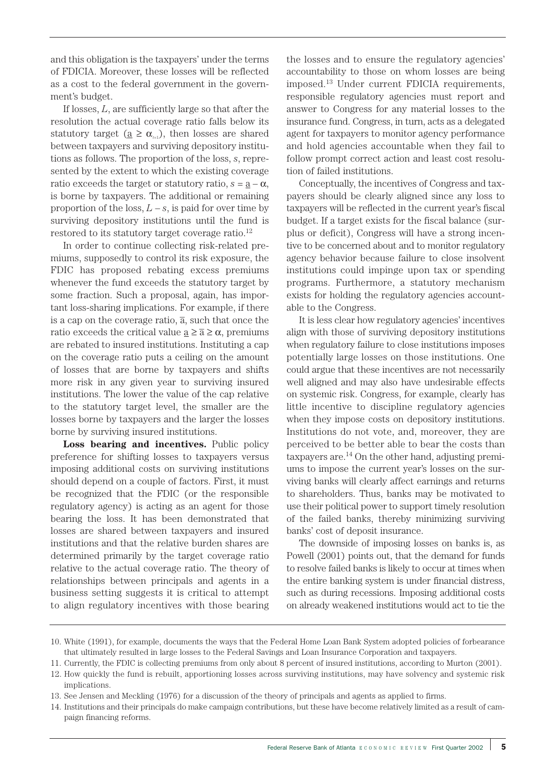and this obligation is the taxpayers' under the terms of FDICIA. Moreover, these losses will be reflected as a cost to the federal government in the government's budget.

If losses, *L*, are sufficiently large so that after the resolution the actual coverage ratio falls below its statutory target ( $\underline{a} \geq \alpha_{\mu}$ ), then losses are shared between taxpayers and surviving depository institutions as follows. The proportion of the loss, *s*, represented by the extent to which the existing coverage ratio exceeds the target or statutory ratio,  $s = a - \alpha$ , is borne by taxpayers. The additional or remaining proportion of the loss,  $L - s$ , is paid for over time by surviving depository institutions until the fund is restored to its statutory target coverage ratio.<sup>12</sup>

In order to continue collecting risk-related premiums, supposedly to control its risk exposure, the FDIC has proposed rebating excess premiums whenever the fund exceeds the statutory target by some fraction. Such a proposal, again, has important loss-sharing implications. For example, if there is a cap on the coverage ratio,  $\overline{a}$ , such that once the ratio exceeds the critical value  $\underline{a} \geq \overline{a} \geq \alpha$ , premiums are rebated to insured institutions. Instituting a cap on the coverage ratio puts a ceiling on the amount of losses that are borne by taxpayers and shifts more risk in any given year to surviving insured institutions. The lower the value of the cap relative to the statutory target level, the smaller are the losses borne by taxpayers and the larger the losses borne by surviving insured institutions.

**Loss bearing and incentives.** Public policy preference for shifting losses to taxpayers versus imposing additional costs on surviving institutions should depend on a couple of factors. First, it must be recognized that the FDIC (or the responsible regulatory agency) is acting as an agent for those bearing the loss. It has been demonstrated that losses are shared between taxpayers and insured institutions and that the relative burden shares are determined primarily by the target coverage ratio relative to the actual coverage ratio. The theory of relationships between principals and agents in a business setting suggests it is critical to attempt to align regulatory incentives with those bearing

the losses and to ensure the regulatory agencies' accountability to those on whom losses are being imposed.13 Under current FDICIA requirements, responsible regulatory agencies must report and answer to Congress for any material losses to the insurance fund. Congress, in turn, acts as a delegated agent for taxpayers to monitor agency performance and hold agencies accountable when they fail to follow prompt correct action and least cost resolution of failed institutions.

Conceptually, the incentives of Congress and taxpayers should be clearly aligned since any loss to taxpayers will be reflected in the current year's fiscal budget. If a target exists for the fiscal balance (surplus or deficit), Congress will have a strong incentive to be concerned about and to monitor regulatory agency behavior because failure to close insolvent institutions could impinge upon tax or spending programs. Furthermore, a statutory mechanism exists for holding the regulatory agencies accountable to the Congress.

It is less clear how regulatory agencies' incentives align with those of surviving depository institutions when regulatory failure to close institutions imposes potentially large losses on those institutions. One could argue that these incentives are not necessarily well aligned and may also have undesirable effects on systemic risk. Congress, for example, clearly has little incentive to discipline regulatory agencies when they impose costs on depository institutions. Institutions do not vote, and, moreover, they are perceived to be better able to bear the costs than taxpayers are.14 On the other hand, adjusting premiums to impose the current year's losses on the surviving banks will clearly affect earnings and returns to shareholders. Thus, banks may be motivated to use their political power to support timely resolution of the failed banks, thereby minimizing surviving banks' cost of deposit insurance.

The downside of imposing losses on banks is, as Powell (2001) points out, that the demand for funds to resolve failed banks is likely to occur at times when the entire banking system is under financial distress, such as during recessions. Imposing additional costs on already weakened institutions would act to tie the

<sup>10.</sup> White (1991), for example, documents the ways that the Federal Home Loan Bank System adopted policies of forbearance that ultimately resulted in large losses to the Federal Savings and Loan Insurance Corporation and taxpayers.

<sup>11.</sup> Currently, the FDIC is collecting premiums from only about 8 percent of insured institutions, according to Murton (2001).

<sup>12.</sup> How quickly the fund is rebuilt, apportioning losses across surviving institutions, may have solvency and systemic risk implications.

<sup>13.</sup> See Jensen and Meckling (1976) for a discussion of the theory of principals and agents as applied to firms.

<sup>14.</sup> Institutions and their principals do make campaign contributions, but these have become relatively limited as a result of campaign financing reforms.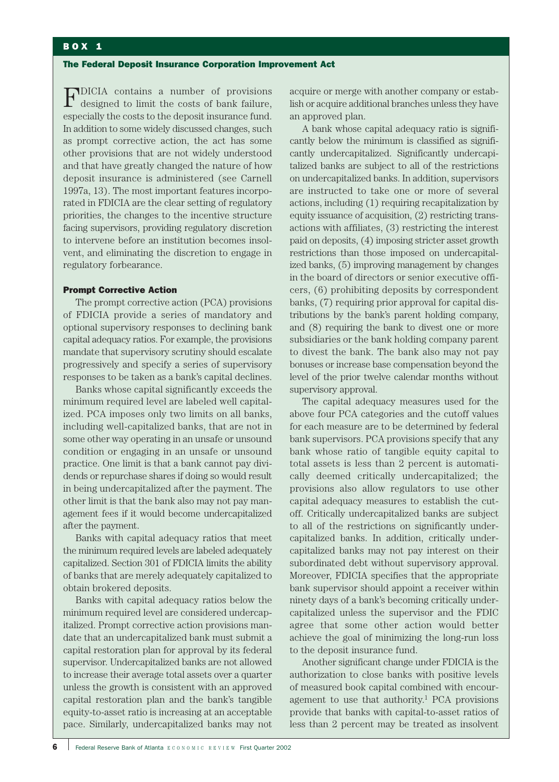## BOX 1

#### The Federal Deposit Insurance Corporation Improvement Act

FDICIA contains a number of provisions designed to limit the costs of bank failure, especially the costs to the deposit insurance fund. In addition to some widely discussed changes, such as prompt corrective action, the act has some other provisions that are not widely understood and that have greatly changed the nature of how deposit insurance is administered (see Carnell 1997a, 13). The most important features incorporated in FDICIA are the clear setting of regulatory priorities, the changes to the incentive structure facing supervisors, providing regulatory discretion to intervene before an institution becomes insolvent, and eliminating the discretion to engage in regulatory forbearance.

## Prompt Corrective Action

The prompt corrective action (PCA) provisions of FDICIA provide a series of mandatory and optional supervisory responses to declining bank capital adequacy ratios. For example, the provisions mandate that supervisory scrutiny should escalate progressively and specify a series of supervisory responses to be taken as a bank's capital declines.

Banks whose capital significantly exceeds the minimum required level are labeled well capitalized. PCA imposes only two limits on all banks, including well-capitalized banks, that are not in some other way operating in an unsafe or unsound condition or engaging in an unsafe or unsound practice. One limit is that a bank cannot pay dividends or repurchase shares if doing so would result in being undercapitalized after the payment. The other limit is that the bank also may not pay management fees if it would become undercapitalized after the payment.

Banks with capital adequacy ratios that meet the minimum required levels are labeled adequately capitalized. Section 301 of FDICIA limits the ability of banks that are merely adequately capitalized to obtain brokered deposits.

Banks with capital adequacy ratios below the minimum required level are considered undercapitalized. Prompt corrective action provisions mandate that an undercapitalized bank must submit a capital restoration plan for approval by its federal supervisor. Undercapitalized banks are not allowed to increase their average total assets over a quarter unless the growth is consistent with an approved capital restoration plan and the bank's tangible equity-to-asset ratio is increasing at an acceptable pace. Similarly, undercapitalized banks may not acquire or merge with another company or establish or acquire additional branches unless they have an approved plan.

A bank whose capital adequacy ratio is significantly below the minimum is classified as significantly undercapitalized. Significantly undercapitalized banks are subject to all of the restrictions on undercapitalized banks. In addition, supervisors are instructed to take one or more of several actions, including (1) requiring recapitalization by equity issuance of acquisition, (2) restricting transactions with affiliates, (3) restricting the interest paid on deposits, (4) imposing stricter asset growth restrictions than those imposed on undercapitalized banks, (5) improving management by changes in the board of directors or senior executive officers, (6) prohibiting deposits by correspondent banks, (7) requiring prior approval for capital distributions by the bank's parent holding company, and (8) requiring the bank to divest one or more subsidiaries or the bank holding company parent to divest the bank. The bank also may not pay bonuses or increase base compensation beyond the level of the prior twelve calendar months without supervisory approval.

The capital adequacy measures used for the above four PCA categories and the cutoff values for each measure are to be determined by federal bank supervisors. PCA provisions specify that any bank whose ratio of tangible equity capital to total assets is less than 2 percent is automatically deemed critically undercapitalized; the provisions also allow regulators to use other capital adequacy measures to establish the cutoff. Critically undercapitalized banks are subject to all of the restrictions on significantly undercapitalized banks. In addition, critically undercapitalized banks may not pay interest on their subordinated debt without supervisory approval. Moreover, FDICIA specifies that the appropriate bank supervisor should appoint a receiver within ninety days of a bank's becoming critically undercapitalized unless the supervisor and the FDIC agree that some other action would better achieve the goal of minimizing the long-run loss to the deposit insurance fund.

Another significant change under FDICIA is the authorization to close banks with positive levels of measured book capital combined with encouragement to use that authority.<sup>1</sup> PCA provisions provide that banks with capital-to-asset ratios of less than 2 percent may be treated as insolvent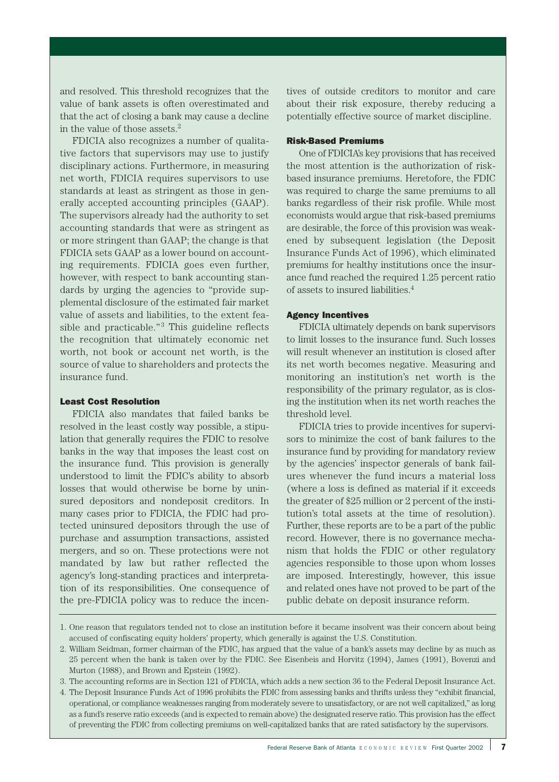and resolved. This threshold recognizes that the value of bank assets is often overestimated and that the act of closing a bank may cause a decline in the value of those assets.2

FDICIA also recognizes a number of qualitative factors that supervisors may use to justify disciplinary actions. Furthermore, in measuring net worth, FDICIA requires supervisors to use standards at least as stringent as those in generally accepted accounting principles (GAAP). The supervisors already had the authority to set accounting standards that were as stringent as or more stringent than GAAP; the change is that FDICIA sets GAAP as a lower bound on accounting requirements. FDICIA goes even further, however, with respect to bank accounting standards by urging the agencies to "provide supplemental disclosure of the estimated fair market value of assets and liabilities, to the extent feasible and practicable." $3$  This guideline reflects the recognition that ultimately economic net worth, not book or account net worth, is the source of value to shareholders and protects the insurance fund.

## Least Cost Resolution

FDICIA also mandates that failed banks be resolved in the least costly way possible, a stipulation that generally requires the FDIC to resolve banks in the way that imposes the least cost on the insurance fund. This provision is generally understood to limit the FDIC's ability to absorb losses that would otherwise be borne by uninsured depositors and nondeposit creditors. In many cases prior to FDICIA, the FDIC had protected uninsured depositors through the use of purchase and assumption transactions, assisted mergers, and so on. These protections were not mandated by law but rather reflected the agency's long-standing practices and interpretation of its responsibilities. One consequence of the pre-FDICIA policy was to reduce the incen-

tives of outside creditors to monitor and care about their risk exposure, thereby reducing a potentially effective source of market discipline.

#### Risk-Based Premiums

One of FDICIA's key provisions that has received the most attention is the authorization of riskbased insurance premiums. Heretofore, the FDIC was required to charge the same premiums to all banks regardless of their risk profile. While most economists would argue that risk-based premiums are desirable, the force of this provision was weakened by subsequent legislation (the Deposit Insurance Funds Act of 1996), which eliminated premiums for healthy institutions once the insurance fund reached the required 1.25 percent ratio of assets to insured liabilities.4

#### Agency Incentives

FDICIA ultimately depends on bank supervisors to limit losses to the insurance fund. Such losses will result whenever an institution is closed after its net worth becomes negative. Measuring and monitoring an institution's net worth is the responsibility of the primary regulator, as is closing the institution when its net worth reaches the threshold level.

FDICIA tries to provide incentives for supervisors to minimize the cost of bank failures to the insurance fund by providing for mandatory review by the agencies' inspector generals of bank failures whenever the fund incurs a material loss (where a loss is defined as material if it exceeds the greater of \$25 million or 2 percent of the institution's total assets at the time of resolution). Further, these reports are to be a part of the public record. However, there is no governance mechanism that holds the FDIC or other regulatory agencies responsible to those upon whom losses are imposed. Interestingly, however, this issue and related ones have not proved to be part of the public debate on deposit insurance reform.

<sup>1.</sup> One reason that regulators tended not to close an institution before it became insolvent was their concern about being accused of confiscating equity holders' property, which generally is against the U.S. Constitution.

<sup>2.</sup> William Seidman, former chairman of the FDIC, has argued that the value of a bank's assets may decline by as much as 25 percent when the bank is taken over by the FDIC. See Eisenbeis and Horvitz (1994), James (1991), Bovenzi and Murton (1988), and Brown and Epstein (1992).

<sup>3.</sup> The accounting reforms are in Section 121 of FDICIA, which adds a new section 36 to the Federal Deposit Insurance Act.

<sup>4.</sup> The Deposit Insurance Funds Act of 1996 prohibits the FDIC from assessing banks and thrifts unless they "exhibit financial, operational, or compliance weaknesses ranging from moderately severe to unsatisfactory, or are not well capitalized," as long as a fund's reserve ratio exceeds (and is expected to remain above) the designated reserve ratio. This provision has the effect of preventing the FDIC from collecting premiums on well-capitalized banks that are rated satisfactory by the supervisors.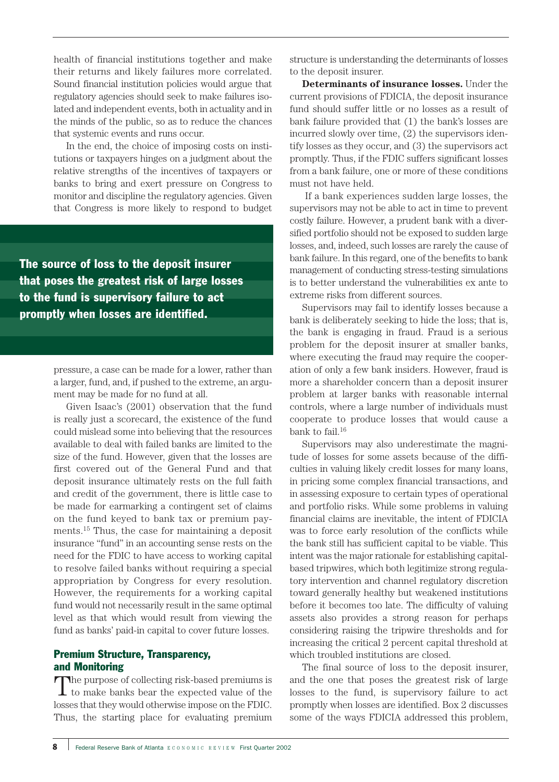health of financial institutions together and make their returns and likely failures more correlated. Sound financial institution policies would argue that regulatory agencies should seek to make failures isolated and independent events, both in actuality and in the minds of the public, so as to reduce the chances that systemic events and runs occur.

In the end, the choice of imposing costs on institutions or taxpayers hinges on a judgment about the relative strengths of the incentives of taxpayers or banks to bring and exert pressure on Congress to monitor and discipline the regulatory agencies. Given that Congress is more likely to respond to budget

The source of loss to the deposit insurer that poses the greatest risk of large losses to the fund is supervisory failure to act promptly when losses are identified.

> pressure, a case can be made for a lower, rather than a larger, fund, and, if pushed to the extreme, an argument may be made for no fund at all.

> Given Isaac's (2001) observation that the fund is really just a scorecard, the existence of the fund could mislead some into believing that the resources available to deal with failed banks are limited to the size of the fund. However, given that the losses are first covered out of the General Fund and that deposit insurance ultimately rests on the full faith and credit of the government, there is little case to be made for earmarking a contingent set of claims on the fund keyed to bank tax or premium payments.15 Thus, the case for maintaining a deposit insurance "fund" in an accounting sense rests on the need for the FDIC to have access to working capital to resolve failed banks without requiring a special appropriation by Congress for every resolution. However, the requirements for a working capital fund would not necessarily result in the same optimal level as that which would result from viewing the fund as banks' paid-in capital to cover future losses.

# Premium Structure, Transparency, and Monitoring

The purpose of collecting risk-based premiums is to make banks bear the expected value of the losses that they would otherwise impose on the FDIC. Thus, the starting place for evaluating premium structure is understanding the determinants of losses to the deposit insurer.

**Determinants of insurance losses.** Under the current provisions of FDICIA, the deposit insurance fund should suffer little or no losses as a result of bank failure provided that (1) the bank's losses are incurred slowly over time, (2) the supervisors identify losses as they occur, and (3) the supervisors act promptly. Thus, if the FDIC suffers significant losses from a bank failure, one or more of these conditions must not have held.

If a bank experiences sudden large losses, the supervisors may not be able to act in time to prevent costly failure. However, a prudent bank with a diversified portfolio should not be exposed to sudden large losses, and, indeed, such losses are rarely the cause of bank failure. In this regard, one of the benefits to bank management of conducting stress-testing simulations is to better understand the vulnerabilities ex ante to extreme risks from different sources.

Supervisors may fail to identify losses because a bank is deliberately seeking to hide the loss; that is, the bank is engaging in fraud. Fraud is a serious problem for the deposit insurer at smaller banks, where executing the fraud may require the cooperation of only a few bank insiders. However, fraud is more a shareholder concern than a deposit insurer problem at larger banks with reasonable internal controls, where a large number of individuals must cooperate to produce losses that would cause a bank to fail.<sup>16</sup>

Supervisors may also underestimate the magnitude of losses for some assets because of the difficulties in valuing likely credit losses for many loans, in pricing some complex financial transactions, and in assessing exposure to certain types of operational and portfolio risks. While some problems in valuing financial claims are inevitable, the intent of FDICIA was to force early resolution of the conflicts while the bank still has sufficient capital to be viable. This intent was the major rationale for establishing capitalbased tripwires, which both legitimize strong regulatory intervention and channel regulatory discretion toward generally healthy but weakened institutions before it becomes too late. The difficulty of valuing assets also provides a strong reason for perhaps considering raising the tripwire thresholds and for increasing the critical 2 percent capital threshold at which troubled institutions are closed.

The final source of loss to the deposit insurer, and the one that poses the greatest risk of large losses to the fund, is supervisory failure to act promptly when losses are identified. Box 2 discusses some of the ways FDICIA addressed this problem,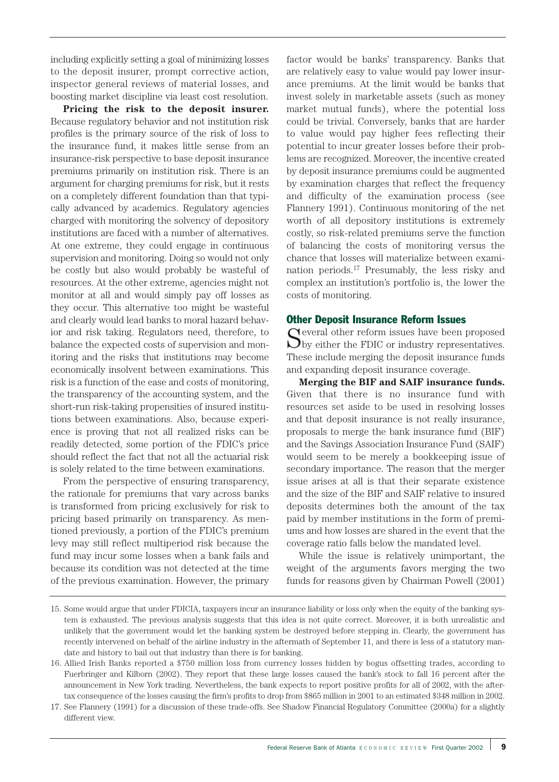including explicitly setting a goal of minimizing losses to the deposit insurer, prompt corrective action, inspector general reviews of material losses, and boosting market discipline via least cost resolution.

**Pricing the risk to the deposit insurer.** Because regulatory behavior and not institution risk profiles is the primary source of the risk of loss to the insurance fund, it makes little sense from an insurance-risk perspective to base deposit insurance premiums primarily on institution risk. There is an argument for charging premiums for risk, but it rests on a completely different foundation than that typically advanced by academics. Regulatory agencies charged with monitoring the solvency of depository institutions are faced with a number of alternatives. At one extreme, they could engage in continuous supervision and monitoring. Doing so would not only be costly but also would probably be wasteful of resources. At the other extreme, agencies might not monitor at all and would simply pay off losses as they occur. This alternative too might be wasteful and clearly would lead banks to moral hazard behavior and risk taking. Regulators need, therefore, to balance the expected costs of supervision and monitoring and the risks that institutions may become economically insolvent between examinations. This risk is a function of the ease and costs of monitoring, the transparency of the accounting system, and the short-run risk-taking propensities of insured institutions between examinations. Also, because experience is proving that not all realized risks can be readily detected, some portion of the FDIC's price should reflect the fact that not all the actuarial risk is solely related to the time between examinations.

From the perspective of ensuring transparency, the rationale for premiums that vary across banks is transformed from pricing exclusively for risk to pricing based primarily on transparency. As mentioned previously, a portion of the FDIC's premium levy may still reflect multiperiod risk because the fund may incur some losses when a bank fails and because its condition was not detected at the time of the previous examination. However, the primary

factor would be banks' transparency. Banks that are relatively easy to value would pay lower insurance premiums. At the limit would be banks that invest solely in marketable assets (such as money market mutual funds), where the potential loss could be trivial. Conversely, banks that are harder to value would pay higher fees reflecting their potential to incur greater losses before their problems are recognized. Moreover, the incentive created by deposit insurance premiums could be augmented by examination charges that reflect the frequency and difficulty of the examination process (see Flannery 1991). Continuous monitoring of the net worth of all depository institutions is extremely costly, so risk-related premiums serve the function of balancing the costs of monitoring versus the chance that losses will materialize between examination periods.17 Presumably, the less risky and complex an institution's portfolio is, the lower the costs of monitoring.

#### Other Deposit Insurance Reform Issues

Several other reform issues have been proposed by either the FDIC or industry representatives. These include merging the deposit insurance funds and expanding deposit insurance coverage.

**Merging the BIF and SAIF insurance funds.** Given that there is no insurance fund with resources set aside to be used in resolving losses and that deposit insurance is not really insurance, proposals to merge the bank insurance fund (BIF) and the Savings Association Insurance Fund (SAIF) would seem to be merely a bookkeeping issue of secondary importance. The reason that the merger issue arises at all is that their separate existence and the size of the BIF and SAIF relative to insured deposits determines both the amount of the tax paid by member institutions in the form of premiums and how losses are shared in the event that the coverage ratio falls below the mandated level.

While the issue is relatively unimportant, the weight of the arguments favors merging the two funds for reasons given by Chairman Powell (2001)

<sup>15.</sup> Some would argue that under FDICIA, taxpayers incur an insurance liability or loss only when the equity of the banking system is exhausted. The previous analysis suggests that this idea is not quite correct. Moreover, it is both unrealistic and unlikely that the government would let the banking system be destroyed before stepping in. Clearly, the government has recently intervened on behalf of the airline industry in the aftermath of September 11, and there is less of a statutory mandate and history to bail out that industry than there is for banking.

<sup>16.</sup> Allied Irish Banks reported a \$750 million loss from currency losses hidden by bogus offsetting trades, according to Fuerbringer and Kilborn (2002). They report that these large losses caused the bank's stock to fall 16 percent after the announcement in New York trading. Nevertheless, the bank expects to report positive profits for all of 2002, with the aftertax consequence of the losses causing the firm's profits to drop from \$865 million in 2001 to an estimated \$348 million in 2002.

<sup>17.</sup> See Flannery (1991) for a discussion of these trade-offs. See Shadow Financial Regulatory Committee (2000a) for a slightly different view.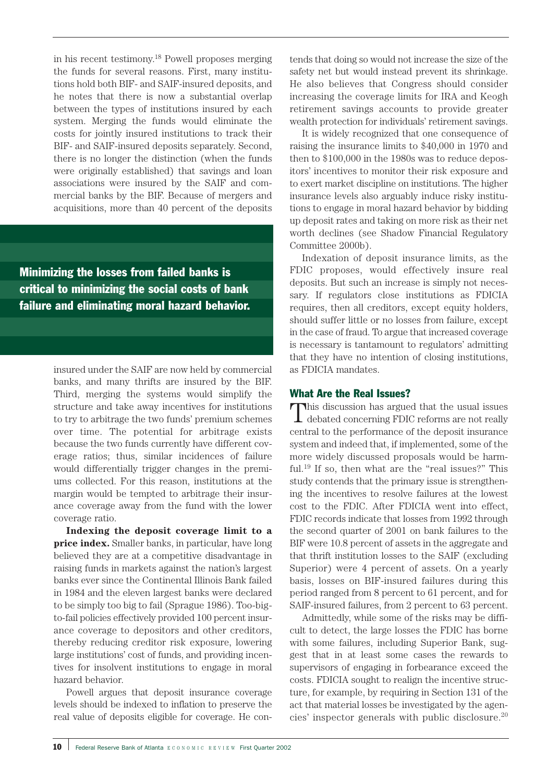in his recent testimony.18 Powell proposes merging the funds for several reasons. First, many institutions hold both BIF- and SAIF-insured deposits, and he notes that there is now a substantial overlap between the types of institutions insured by each system. Merging the funds would eliminate the costs for jointly insured institutions to track their BIF- and SAIF-insured deposits separately. Second, there is no longer the distinction (when the funds were originally established) that savings and loan associations were insured by the SAIF and commercial banks by the BIF. Because of mergers and acquisitions, more than 40 percent of the deposits

Minimizing the losses from failed banks is critical to minimizing the social costs of bank failure and eliminating moral hazard behavior.

> insured under the SAIF are now held by commercial banks, and many thrifts are insured by the BIF. Third, merging the systems would simplify the structure and take away incentives for institutions to try to arbitrage the two funds' premium schemes over time. The potential for arbitrage exists because the two funds currently have different coverage ratios; thus, similar incidences of failure would differentially trigger changes in the premiums collected. For this reason, institutions at the margin would be tempted to arbitrage their insurance coverage away from the fund with the lower coverage ratio.

> **Indexing the deposit coverage limit to a price index.** Smaller banks, in particular, have long believed they are at a competitive disadvantage in raising funds in markets against the nation's largest banks ever since the Continental Illinois Bank failed in 1984 and the eleven largest banks were declared to be simply too big to fail (Sprague 1986). Too-bigto-fail policies effectively provided 100 percent insurance coverage to depositors and other creditors, thereby reducing creditor risk exposure, lowering large institutions' cost of funds, and providing incentives for insolvent institutions to engage in moral hazard behavior.

> Powell argues that deposit insurance coverage levels should be indexed to inflation to preserve the real value of deposits eligible for coverage. He con-

tends that doing so would not increase the size of the safety net but would instead prevent its shrinkage. He also believes that Congress should consider increasing the coverage limits for IRA and Keogh retirement savings accounts to provide greater wealth protection for individuals' retirement savings.

It is widely recognized that one consequence of raising the insurance limits to \$40,000 in 1970 and then to \$100,000 in the 1980s was to reduce depositors' incentives to monitor their risk exposure and to exert market discipline on institutions. The higher insurance levels also arguably induce risky institutions to engage in moral hazard behavior by bidding up deposit rates and taking on more risk as their net worth declines (see Shadow Financial Regulatory Committee 2000b).

Indexation of deposit insurance limits, as the FDIC proposes, would effectively insure real deposits. But such an increase is simply not necessary. If regulators close institutions as FDICIA requires, then all creditors, except equity holders, should suffer little or no losses from failure, except in the case of fraud. To argue that increased coverage is necessary is tantamount to regulators' admitting that they have no intention of closing institutions, as FDICIA mandates.

## What Are the Real Issues?

This discussion has argued that the usual issues debated concerning FDIC reforms are not really central to the performance of the deposit insurance system and indeed that, if implemented, some of the more widely discussed proposals would be harmful.19 If so, then what are the "real issues?" This study contends that the primary issue is strengthening the incentives to resolve failures at the lowest cost to the FDIC. After FDICIA went into effect, FDIC records indicate that losses from 1992 through the second quarter of 2001 on bank failures to the BIF were 10.8 percent of assets in the aggregate and that thrift institution losses to the SAIF (excluding Superior) were 4 percent of assets. On a yearly basis, losses on BIF-insured failures during this period ranged from 8 percent to 61 percent, and for SAIF-insured failures, from 2 percent to 63 percent.

Admittedly, while some of the risks may be difficult to detect, the large losses the FDIC has borne with some failures, including Superior Bank, suggest that in at least some cases the rewards to supervisors of engaging in forbearance exceed the costs. FDICIA sought to realign the incentive structure, for example, by requiring in Section 131 of the act that material losses be investigated by the agencies' inspector generals with public disclosure.20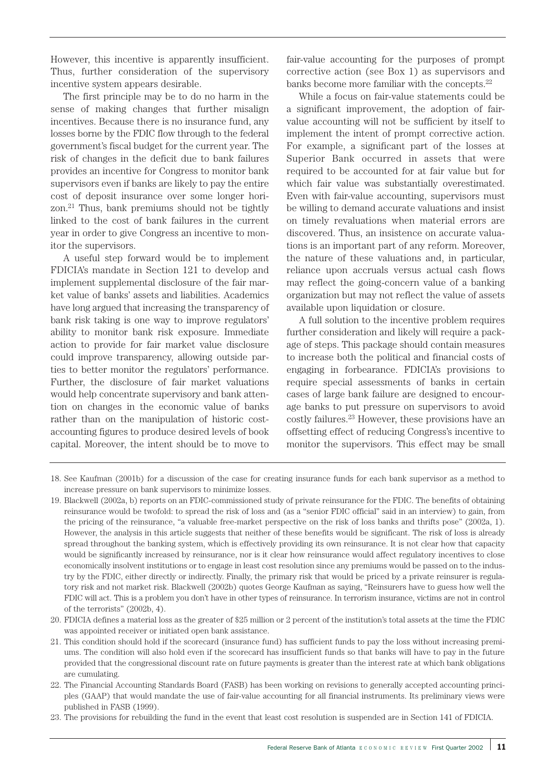However, this incentive is apparently insufficient. Thus, further consideration of the supervisory incentive system appears desirable.

The first principle may be to do no harm in the sense of making changes that further misalign incentives. Because there is no insurance fund, any losses borne by the FDIC flow through to the federal government's fiscal budget for the current year. The risk of changes in the deficit due to bank failures provides an incentive for Congress to monitor bank supervisors even if banks are likely to pay the entire cost of deposit insurance over some longer horizon.21 Thus, bank premiums should not be tightly linked to the cost of bank failures in the current year in order to give Congress an incentive to monitor the supervisors.

A useful step forward would be to implement FDICIA's mandate in Section 121 to develop and implement supplemental disclosure of the fair market value of banks' assets and liabilities. Academics have long argued that increasing the transparency of bank risk taking is one way to improve regulators' ability to monitor bank risk exposure. Immediate action to provide for fair market value disclosure could improve transparency, allowing outside parties to better monitor the regulators' performance. Further, the disclosure of fair market valuations would help concentrate supervisory and bank attention on changes in the economic value of banks rather than on the manipulation of historic costaccounting figures to produce desired levels of book capital. Moreover, the intent should be to move to fair-value accounting for the purposes of prompt corrective action (see Box 1) as supervisors and banks become more familiar with the concepts.<sup>22</sup>

While a focus on fair-value statements could be a significant improvement, the adoption of fairvalue accounting will not be sufficient by itself to implement the intent of prompt corrective action. For example, a significant part of the losses at Superior Bank occurred in assets that were required to be accounted for at fair value but for which fair value was substantially overestimated. Even with fair-value accounting, supervisors must be willing to demand accurate valuations and insist on timely revaluations when material errors are discovered. Thus, an insistence on accurate valuations is an important part of any reform. Moreover, the nature of these valuations and, in particular, reliance upon accruals versus actual cash flows may reflect the going-concern value of a banking organization but may not reflect the value of assets available upon liquidation or closure.

A full solution to the incentive problem requires further consideration and likely will require a package of steps. This package should contain measures to increase both the political and financial costs of engaging in forbearance. FDICIA's provisions to require special assessments of banks in certain cases of large bank failure are designed to encourage banks to put pressure on supervisors to avoid costly failures.23 However, these provisions have an offsetting effect of reducing Congress's incentive to monitor the supervisors. This effect may be small

<sup>18.</sup> See Kaufman (2001b) for a discussion of the case for creating insurance funds for each bank supervisor as a method to increase pressure on bank supervisors to minimize losses.

<sup>19.</sup> Blackwell (2002a, b) reports on an FDIC-commissioned study of private reinsurance for the FDIC. The benefits of obtaining reinsurance would be twofold: to spread the risk of loss and (as a "senior FDIC official" said in an interview) to gain, from the pricing of the reinsurance, "a valuable free-market perspective on the risk of loss banks and thrifts pose" (2002a, 1). However, the analysis in this article suggests that neither of these benefits would be significant. The risk of loss is already spread throughout the banking system, which is effectively providing its own reinsurance. It is not clear how that capacity would be significantly increased by reinsurance, nor is it clear how reinsurance would affect regulatory incentives to close economically insolvent institutions or to engage in least cost resolution since any premiums would be passed on to the industry by the FDIC, either directly or indirectly. Finally, the primary risk that would be priced by a private reinsurer is regulatory risk and not market risk. Blackwell (2002b) quotes George Kaufman as saying, "Reinsurers have to guess how well the FDIC will act. This is a problem you don't have in other types of reinsurance. In terrorism insurance, victims are not in control of the terrorists" (2002b, 4).

<sup>20.</sup> FDICIA defines a material loss as the greater of \$25 million or 2 percent of the institution's total assets at the time the FDIC was appointed receiver or initiated open bank assistance.

<sup>21.</sup> This condition should hold if the scorecard (insurance fund) has sufficient funds to pay the loss without increasing premiums. The condition will also hold even if the scorecard has insufficient funds so that banks will have to pay in the future provided that the congressional discount rate on future payments is greater than the interest rate at which bank obligations are cumulating.

<sup>22.</sup> The Financial Accounting Standards Board (FASB) has been working on revisions to generally accepted accounting principles (GAAP) that would mandate the use of fair-value accounting for all financial instruments. Its preliminary views were published in FASB (1999).

<sup>23.</sup> The provisions for rebuilding the fund in the event that least cost resolution is suspended are in Section 141 of FDICIA.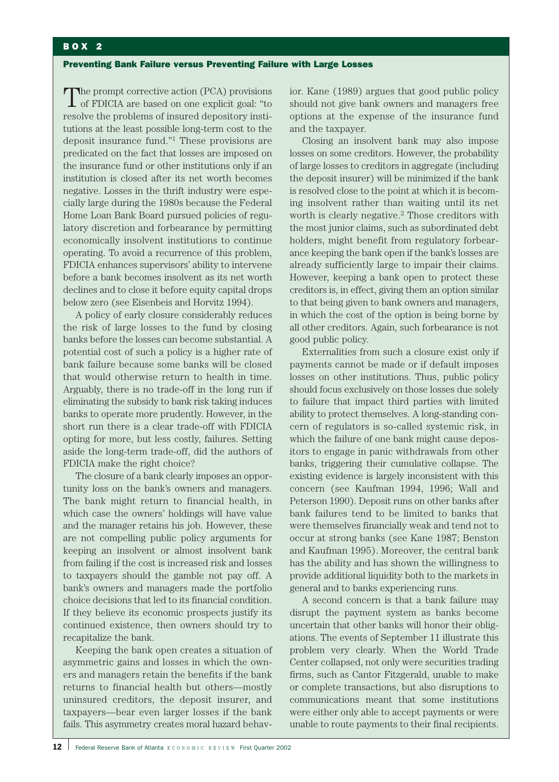## BOX 2

#### Preventing Bank Failure versus Preventing Failure with Large Losses

The prompt corrective action (PCA) provisions of FDICIA are based on one explicit goal: "to resolve the problems of insured depository institutions at the least possible long-term cost to the deposit insurance fund."1 These provisions are predicated on the fact that losses are imposed on the insurance fund or other institutions only if an institution is closed after its net worth becomes negative. Losses in the thrift industry were especially large during the 1980s because the Federal Home Loan Bank Board pursued policies of regulatory discretion and forbearance by permitting economically insolvent institutions to continue operating. To avoid a recurrence of this problem, FDICIA enhances supervisors' ability to intervene before a bank becomes insolvent as its net worth declines and to close it before equity capital drops below zero (see Eisenbeis and Horvitz 1994).

A policy of early closure considerably reduces the risk of large losses to the fund by closing banks before the losses can become substantial. A potential cost of such a policy is a higher rate of bank failure because some banks will be closed that would otherwise return to health in time. Arguably, there is no trade-off in the long run if eliminating the subsidy to bank risk taking induces banks to operate more prudently. However, in the short run there is a clear trade-off with FDICIA opting for more, but less costly, failures. Setting aside the long-term trade-off, did the authors of FDICIA make the right choice?

The closure of a bank clearly imposes an opportunity loss on the bank's owners and managers. The bank might return to financial health, in which case the owners' holdings will have value and the manager retains his job. However, these are not compelling public policy arguments for keeping an insolvent or almost insolvent bank from failing if the cost is increased risk and losses to taxpayers should the gamble not pay off. A bank's owners and managers made the portfolio choice decisions that led to its financial condition. If they believe its economic prospects justify its continued existence, then owners should try to recapitalize the bank.

Keeping the bank open creates a situation of asymmetric gains and losses in which the owners and managers retain the benefits if the bank returns to financial health but others—mostly uninsured creditors, the deposit insurer, and taxpayers—bear even larger losses if the bank fails. This asymmetry creates moral hazard behavior. Kane (1989) argues that good public policy should not give bank owners and managers free options at the expense of the insurance fund and the taxpayer.

Closing an insolvent bank may also impose losses on some creditors. However, the probability of large losses to creditors in aggregate (including the deposit insurer) will be minimized if the bank is resolved close to the point at which it is becoming insolvent rather than waiting until its net worth is clearly negative.<sup>2</sup> Those creditors with the most junior claims, such as subordinated debt holders, might benefit from regulatory forbearance keeping the bank open if the bank's losses are already sufficiently large to impair their claims. However, keeping a bank open to protect these creditors is, in effect, giving them an option similar to that being given to bank owners and managers, in which the cost of the option is being borne by all other creditors. Again, such forbearance is not good public policy.

Externalities from such a closure exist only if payments cannot be made or if default imposes losses on other institutions. Thus, public policy should focus exclusively on those losses due solely to failure that impact third parties with limited ability to protect themselves. A long-standing concern of regulators is so-called systemic risk, in which the failure of one bank might cause depositors to engage in panic withdrawals from other banks, triggering their cumulative collapse. The existing evidence is largely inconsistent with this concern (see Kaufman 1994, 1996; Wall and Peterson 1990). Deposit runs on other banks after bank failures tend to be limited to banks that were themselves financially weak and tend not to occur at strong banks (see Kane 1987; Benston and Kaufman 1995). Moreover, the central bank has the ability and has shown the willingness to provide additional liquidity both to the markets in general and to banks experiencing runs.

A second concern is that a bank failure may disrupt the payment system as banks become uncertain that other banks will honor their obligations. The events of September 11 illustrate this problem very clearly. When the World Trade Center collapsed, not only were securities trading firms, such as Cantor Fitzgerald, unable to make or complete transactions, but also disruptions to communications meant that some institutions were either only able to accept payments or were unable to route payments to their final recipients.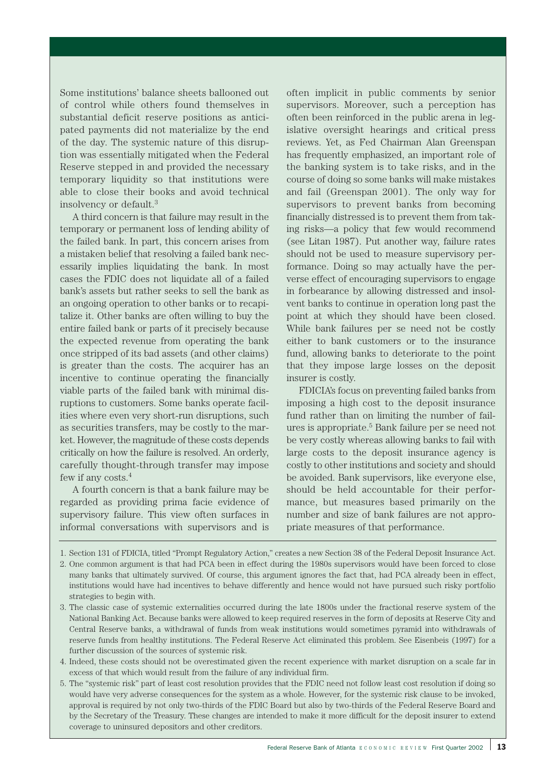Some institutions' balance sheets ballooned out of control while others found themselves in substantial deficit reserve positions as anticipated payments did not materialize by the end of the day. The systemic nature of this disruption was essentially mitigated when the Federal Reserve stepped in and provided the necessary temporary liquidity so that institutions were able to close their books and avoid technical insolvency or default.3

A third concern is that failure may result in the temporary or permanent loss of lending ability of the failed bank. In part, this concern arises from a mistaken belief that resolving a failed bank necessarily implies liquidating the bank. In most cases the FDIC does not liquidate all of a failed bank's assets but rather seeks to sell the bank as an ongoing operation to other banks or to recapitalize it. Other banks are often willing to buy the entire failed bank or parts of it precisely because the expected revenue from operating the bank once stripped of its bad assets (and other claims) is greater than the costs. The acquirer has an incentive to continue operating the financially viable parts of the failed bank with minimal disruptions to customers. Some banks operate facilities where even very short-run disruptions, such as securities transfers, may be costly to the market. However, the magnitude of these costs depends critically on how the failure is resolved. An orderly, carefully thought-through transfer may impose few if any costs.4

A fourth concern is that a bank failure may be regarded as providing prima facie evidence of supervisory failure. This view often surfaces in informal conversations with supervisors and is often implicit in public comments by senior supervisors. Moreover, such a perception has often been reinforced in the public arena in legislative oversight hearings and critical press reviews. Yet, as Fed Chairman Alan Greenspan has frequently emphasized, an important role of the banking system is to take risks, and in the course of doing so some banks will make mistakes and fail (Greenspan 2001). The only way for supervisors to prevent banks from becoming financially distressed is to prevent them from taking risks—a policy that few would recommend (see Litan 1987). Put another way, failure rates should not be used to measure supervisory performance. Doing so may actually have the perverse effect of encouraging supervisors to engage in forbearance by allowing distressed and insolvent banks to continue in operation long past the point at which they should have been closed. While bank failures per se need not be costly either to bank customers or to the insurance fund, allowing banks to deteriorate to the point that they impose large losses on the deposit insurer is costly.

FDICIA's focus on preventing failed banks from imposing a high cost to the deposit insurance fund rather than on limiting the number of failures is appropriate.5 Bank failure per se need not be very costly whereas allowing banks to fail with large costs to the deposit insurance agency is costly to other institutions and society and should be avoided. Bank supervisors, like everyone else, should be held accountable for their performance, but measures based primarily on the number and size of bank failures are not appropriate measures of that performance.

- 4. Indeed, these costs should not be overestimated given the recent experience with market disruption on a scale far in excess of that which would result from the failure of any individual firm.
- 5. The "systemic risk" part of least cost resolution provides that the FDIC need not follow least cost resolution if doing so would have very adverse consequences for the system as a whole. However, for the systemic risk clause to be invoked, approval is required by not only two-thirds of the FDIC Board but also by two-thirds of the Federal Reserve Board and by the Secretary of the Treasury. These changes are intended to make it more difficult for the deposit insurer to extend coverage to uninsured depositors and other creditors.

<sup>1.</sup> Section 131 of FDICIA, titled "Prompt Regulatory Action," creates a new Section 38 of the Federal Deposit Insurance Act.

<sup>2.</sup> One common argument is that had PCA been in effect during the 1980s supervisors would have been forced to close many banks that ultimately survived. Of course, this argument ignores the fact that, had PCA already been in effect, institutions would have had incentives to behave differently and hence would not have pursued such risky portfolio strategies to begin with.

<sup>3.</sup> The classic case of systemic externalities occurred during the late 1800s under the fractional reserve system of the National Banking Act. Because banks were allowed to keep required reserves in the form of deposits at Reserve City and Central Reserve banks, a withdrawal of funds from weak institutions would sometimes pyramid into withdrawals of reserve funds from healthy institutions. The Federal Reserve Act eliminated this problem. See Eisenbeis (1997) for a further discussion of the sources of systemic risk.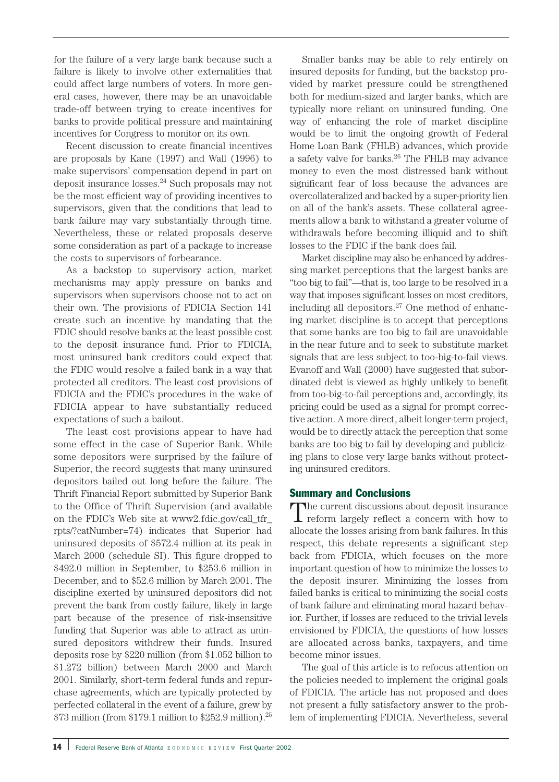for the failure of a very large bank because such a failure is likely to involve other externalities that could affect large numbers of voters. In more general cases, however, there may be an unavoidable trade-off between trying to create incentives for banks to provide political pressure and maintaining incentives for Congress to monitor on its own.

Recent discussion to create financial incentives are proposals by Kane (1997) and Wall (1996) to make supervisors' compensation depend in part on deposit insurance losses.24 Such proposals may not be the most efficient way of providing incentives to supervisors, given that the conditions that lead to bank failure may vary substantially through time. Nevertheless, these or related proposals deserve some consideration as part of a package to increase the costs to supervisors of forbearance.

As a backstop to supervisory action, market mechanisms may apply pressure on banks and supervisors when supervisors choose not to act on their own. The provisions of FDICIA Section 141 create such an incentive by mandating that the FDIC should resolve banks at the least possible cost to the deposit insurance fund. Prior to FDICIA, most uninsured bank creditors could expect that the FDIC would resolve a failed bank in a way that protected all creditors. The least cost provisions of FDICIA and the FDIC's procedures in the wake of FDICIA appear to have substantially reduced expectations of such a bailout.

The least cost provisions appear to have had some effect in the case of Superior Bank. While some depositors were surprised by the failure of Superior, the record suggests that many uninsured depositors bailed out long before the failure. The Thrift Financial Report submitted by Superior Bank to the Office of Thrift Supervision (and available on the FDIC's Web site at www2.fdic.gov/call\_tfr\_ rpts/?catNumber=74) indicates that Superior had uninsured deposits of \$572.4 million at its peak in March 2000 (schedule SI). This figure dropped to \$492.0 million in September, to \$253.6 million in December, and to \$52.6 million by March 2001. The discipline exerted by uninsured depositors did not prevent the bank from costly failure, likely in large part because of the presence of risk-insensitive funding that Superior was able to attract as uninsured depositors withdrew their funds. Insured deposits rose by \$220 million (from \$1.052 billion to \$1.272 billion) between March 2000 and March 2001. Similarly, short-term federal funds and repurchase agreements, which are typically protected by perfected collateral in the event of a failure, grew by \$73 million (from \$179.1 million to \$252.9 million).25

Smaller banks may be able to rely entirely on insured deposits for funding, but the backstop provided by market pressure could be strengthened both for medium-sized and larger banks, which are typically more reliant on uninsured funding. One way of enhancing the role of market discipline would be to limit the ongoing growth of Federal Home Loan Bank (FHLB) advances, which provide a safety valve for banks.26 The FHLB may advance money to even the most distressed bank without significant fear of loss because the advances are overcollateralized and backed by a super-priority lien on all of the bank's assets. These collateral agreements allow a bank to withstand a greater volume of withdrawals before becoming illiquid and to shift losses to the FDIC if the bank does fail.

Market discipline may also be enhanced by addressing market perceptions that the largest banks are "too big to fail"—that is, too large to be resolved in a way that imposes significant losses on most creditors, including all depositors.27 One method of enhancing market discipline is to accept that perceptions that some banks are too big to fail are unavoidable in the near future and to seek to substitute market signals that are less subject to too-big-to-fail views. Evanoff and Wall (2000) have suggested that subordinated debt is viewed as highly unlikely to benefit from too-big-to-fail perceptions and, accordingly, its pricing could be used as a signal for prompt corrective action. A more direct, albeit longer-term project, would be to directly attack the perception that some banks are too big to fail by developing and publicizing plans to close very large banks without protecting uninsured creditors.

# Summary and Conclusions

The current discussions about deposit insurance  $\perp$  reform largely reflect a concern with how to allocate the losses arising from bank failures. In this respect, this debate represents a significant step back from FDICIA, which focuses on the more important question of how to minimize the losses to the deposit insurer. Minimizing the losses from failed banks is critical to minimizing the social costs of bank failure and eliminating moral hazard behavior. Further, if losses are reduced to the trivial levels envisioned by FDICIA, the questions of how losses are allocated across banks, taxpayers, and time become minor issues.

The goal of this article is to refocus attention on the policies needed to implement the original goals of FDICIA. The article has not proposed and does not present a fully satisfactory answer to the problem of implementing FDICIA. Nevertheless, several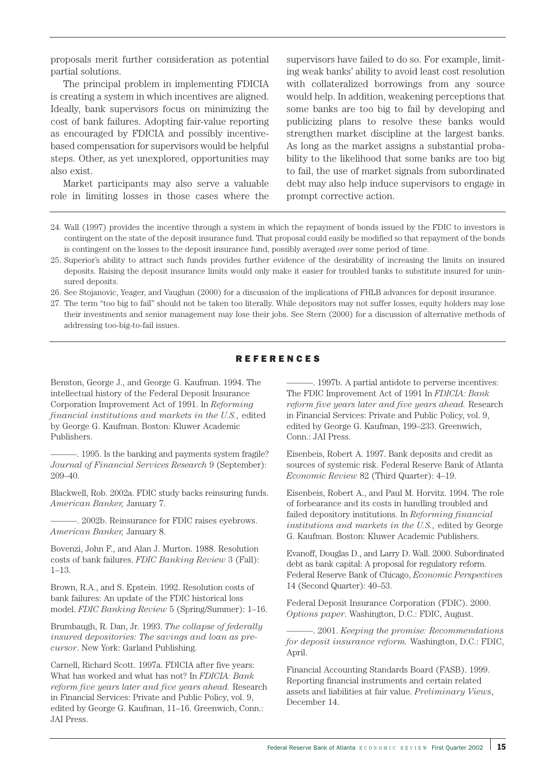proposals merit further consideration as potential partial solutions.

The principal problem in implementing FDICIA is creating a system in which incentives are aligned. Ideally, bank supervisors focus on minimizing the cost of bank failures. Adopting fair-value reporting as encouraged by FDICIA and possibly incentivebased compensation for supervisors would be helpful steps. Other, as yet unexplored, opportunities may also exist.

Market participants may also serve a valuable role in limiting losses in those cases where the supervisors have failed to do so. For example, limiting weak banks' ability to avoid least cost resolution with collateralized borrowings from any source would help. In addition, weakening perceptions that some banks are too big to fail by developing and publicizing plans to resolve these banks would strengthen market discipline at the largest banks. As long as the market assigns a substantial probability to the likelihood that some banks are too big to fail, the use of market signals from subordinated debt may also help induce supervisors to engage in prompt corrective action.

- 24. Wall (1997) provides the incentive through a system in which the repayment of bonds issued by the FDIC to investors is contingent on the state of the deposit insurance fund. That proposal could easily be modified so that repayment of the bonds is contingent on the losses to the deposit insurance fund, possibly averaged over some period of time.
- 25. Superior's ability to attract such funds provides further evidence of the desirability of increasing the limits on insured deposits. Raising the deposit insurance limits would only make it easier for troubled banks to substitute insured for uninsured deposits.
- 26. See Stojanovic, Yeager, and Vaughan (2000) for a discussion of the implications of FHLB advances for deposit insurance.
- 27. The term "too big to fail" should not be taken too literally. While depositors may not suffer losses, equity holders may lose their investments and senior management may lose their jobs. See Stern (2000) for a discussion of alternative methods of addressing too-big-to-fail issues.

## REFERENCES

Benston, George J., and George G. Kaufman. 1994. The intellectual history of the Federal Deposit Insurance Corporation Improvement Act of 1991. In *Reforming financial institutions and markets in the U.S.,* edited by George G. Kaufman. Boston: Kluwer Academic Publishers.

 $-$ . 1995. Is the banking and payments system fragile? *Journal of Financial Services Research* 9 (September): 209–40.

Blackwell, Rob. 2002a. FDIC study backs reinsuring funds. *American Banker,* January 7.

-. 2002b. Reinsurance for FDIC raises eyebrows. *American Banker,* January 8.

Bovenzi, John F., and Alan J. Murton. 1988. Resolution costs of bank failures. *FDIC Banking Review* 3 (Fall): 1–13.

Brown, R.A., and S. Epstein. 1992. Resolution costs of bank failures: An update of the FDIC historical loss model. *FDIC Banking Review* 5 (Spring/Summer): 1–16.

Brumbaugh, R. Dan, Jr. 1993. *The collapse of federally insured depositories: The savings and loan as precursor*. New York: Garland Publishing.

Carnell, Richard Scott. 1997a. FDICIA after five years: What has worked and what has not? In *FDICIA: Bank reform five years later and five years ahead.* Research in Financial Services: Private and Public Policy, vol. 9, edited by George G. Kaufman, 11–16. Greenwich, Conn.: JAI Press.

———. 1997b. A partial antidote to perverse incentives: The FDIC Improvement Act of 1991 In *FDICIA: Bank reform five years later and five years ahead.* Research in Financial Services: Private and Public Policy, vol. 9, edited by George G. Kaufman, 199–233. Greenwich, Conn.: JAI Press.

Eisenbeis, Robert A. 1997. Bank deposits and credit as sources of systemic risk. Federal Reserve Bank of Atlanta *Economic Review* 82 (Third Quarter): 4–19.

Eisenbeis, Robert A., and Paul M. Horvitz. 1994. The role of forbearance and its costs in handling troubled and failed depository institutions. In *Reforming financial institutions and markets in the U.S.,* edited by George G. Kaufman. Boston: Kluwer Academic Publishers.

Evanoff, Douglas D., and Larry D. Wall. 2000. Subordinated debt as bank capital: A proposal for regulatory reform. Federal Reserve Bank of Chicago, *Economic Perspectives* 14 (Second Quarter): 40–53.

Federal Deposit Insurance Corporation (FDIC). 2000. *Options paper*. Washington, D.C.: FDIC, August.

———. 2001. *Keeping the promise: Recommendations for deposit insurance reform.* Washington, D.C.: FDIC, April.

Financial Accounting Standards Board (FASB). 1999. Reporting financial instruments and certain related assets and liabilities at fair value. *Preliminary Views*, December 14.